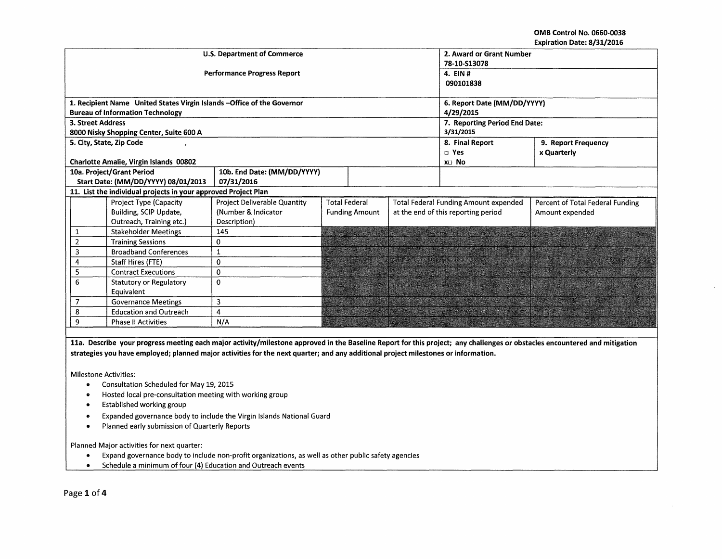OMB Control No. 0660-0038 Expiration Date: 8/31/2016

|                                                                                                                                                                            |                                                                                                                                                                                                                                       | <b>U.S. Department of Commerce</b> | 2. Award or Grant Number      |                      |  |                                              |                                  |
|----------------------------------------------------------------------------------------------------------------------------------------------------------------------------|---------------------------------------------------------------------------------------------------------------------------------------------------------------------------------------------------------------------------------------|------------------------------------|-------------------------------|----------------------|--|----------------------------------------------|----------------------------------|
|                                                                                                                                                                            |                                                                                                                                                                                                                                       |                                    | 78-10-S13078                  |                      |  |                                              |                                  |
|                                                                                                                                                                            |                                                                                                                                                                                                                                       | <b>Performance Progress Report</b> | 4. EIN #                      |                      |  |                                              |                                  |
|                                                                                                                                                                            |                                                                                                                                                                                                                                       |                                    | 090101838                     |                      |  |                                              |                                  |
|                                                                                                                                                                            |                                                                                                                                                                                                                                       |                                    |                               |                      |  |                                              |                                  |
|                                                                                                                                                                            | 1. Recipient Name United States Virgin Islands - Office of the Governor                                                                                                                                                               |                                    | 6. Report Date (MM/DD/YYYY)   |                      |  |                                              |                                  |
|                                                                                                                                                                            | <b>Bureau of Information Technology</b>                                                                                                                                                                                               |                                    | 4/29/2015                     |                      |  |                                              |                                  |
|                                                                                                                                                                            | <b>3. Street Address</b>                                                                                                                                                                                                              |                                    | 7. Reporting Period End Date: |                      |  |                                              |                                  |
|                                                                                                                                                                            | 8000 Nisky Shopping Center, Suite 600 A                                                                                                                                                                                               |                                    |                               | 3/31/2015            |  |                                              |                                  |
|                                                                                                                                                                            | 5. City, State, Zip Code                                                                                                                                                                                                              |                                    |                               |                      |  | 8. Final Report                              | 9. Report Frequency              |
|                                                                                                                                                                            |                                                                                                                                                                                                                                       |                                    |                               |                      |  | $\square$ Yes                                | x Quarterly                      |
|                                                                                                                                                                            | Charlotte Amalie, Virgin Islands 00802                                                                                                                                                                                                |                                    |                               |                      |  | X <sub>D</sub> No                            |                                  |
|                                                                                                                                                                            | 10a. Project/Grant Period                                                                                                                                                                                                             | 10b. End Date: (MM/DD/YYYY)        |                               |                      |  |                                              |                                  |
|                                                                                                                                                                            | Start Date: (MM/DD/YYYY) 08/01/2013                                                                                                                                                                                                   | 07/31/2016                         |                               |                      |  |                                              |                                  |
|                                                                                                                                                                            | 11. List the individual projects in your approved Project Plan                                                                                                                                                                        |                                    |                               |                      |  |                                              |                                  |
|                                                                                                                                                                            | Project Type (Capacity                                                                                                                                                                                                                | Project Deliverable Quantity       |                               | <b>Total Federal</b> |  | <b>Total Federal Funding Amount expended</b> | Percent of Total Federal Funding |
|                                                                                                                                                                            | Building, SCIP Update,                                                                                                                                                                                                                | (Number & Indicator                | <b>Funding Amount</b>         |                      |  | at the end of this reporting period          | Amount expended                  |
|                                                                                                                                                                            | Outreach, Training etc.)                                                                                                                                                                                                              | Description)                       |                               |                      |  |                                              |                                  |
| 1                                                                                                                                                                          | <b>Stakeholder Meetings</b>                                                                                                                                                                                                           | 145                                |                               |                      |  |                                              |                                  |
| $\overline{2}$                                                                                                                                                             | <b>Training Sessions</b>                                                                                                                                                                                                              | 0                                  |                               |                      |  |                                              |                                  |
| 3                                                                                                                                                                          | <b>Broadband Conferences</b>                                                                                                                                                                                                          | 1                                  |                               |                      |  |                                              |                                  |
| 4                                                                                                                                                                          | Staff Hires (FTE)                                                                                                                                                                                                                     | $\Omega$                           |                               |                      |  |                                              |                                  |
| 5                                                                                                                                                                          | <b>Contract Executions</b>                                                                                                                                                                                                            | $\mathbf 0$                        |                               |                      |  |                                              |                                  |
| 6                                                                                                                                                                          | <b>Statutory or Regulatory</b>                                                                                                                                                                                                        | $\Omega$                           |                               |                      |  |                                              |                                  |
|                                                                                                                                                                            | Equivalent                                                                                                                                                                                                                            |                                    |                               |                      |  |                                              |                                  |
| $\overline{7}$                                                                                                                                                             | <b>Governance Meetings</b>                                                                                                                                                                                                            | 3                                  |                               |                      |  |                                              |                                  |
| 8                                                                                                                                                                          | <b>Education and Outreach</b>                                                                                                                                                                                                         | $\overline{\mathbf{4}}$            |                               |                      |  |                                              |                                  |
| 9                                                                                                                                                                          | <b>Phase II Activities</b>                                                                                                                                                                                                            | N/A                                |                               |                      |  |                                              |                                  |
|                                                                                                                                                                            |                                                                                                                                                                                                                                       |                                    |                               |                      |  |                                              |                                  |
| 11a. Describe your progress meeting each major activity/milestone approved in the Baseline Report for this project; any challenges or obstacles encountered and mitigation |                                                                                                                                                                                                                                       |                                    |                               |                      |  |                                              |                                  |
| strategies you have employed; planned major activities for the next quarter; and any additional project milestones or information.                                         |                                                                                                                                                                                                                                       |                                    |                               |                      |  |                                              |                                  |
|                                                                                                                                                                            |                                                                                                                                                                                                                                       |                                    |                               |                      |  |                                              |                                  |
|                                                                                                                                                                            | <b>Milestone Activities:</b>                                                                                                                                                                                                          |                                    |                               |                      |  |                                              |                                  |
|                                                                                                                                                                            | Consultation Scheduled for May 19, 2015                                                                                                                                                                                               |                                    |                               |                      |  |                                              |                                  |
|                                                                                                                                                                            | $\mathbf{r}$ and $\mathbf{r}$ are assumed to the contract of the contract of the contract of the contract of the contract of the contract of the contract of the contract of the contract of the contract of the contract of the cont |                                    |                               |                      |  |                                              |                                  |

- Hosted local pre-consultation meeting with working group
- Established working group
- Expanded governance body to include the Virgin Islands National Guard
- Planned early submission of Quarterly Reports

Planned Major activities for next quarter:

- Expand governance body to include non-profit organizations, as well as other public safety agencies
- Schedule a minimum of four (4) Education and Outreach events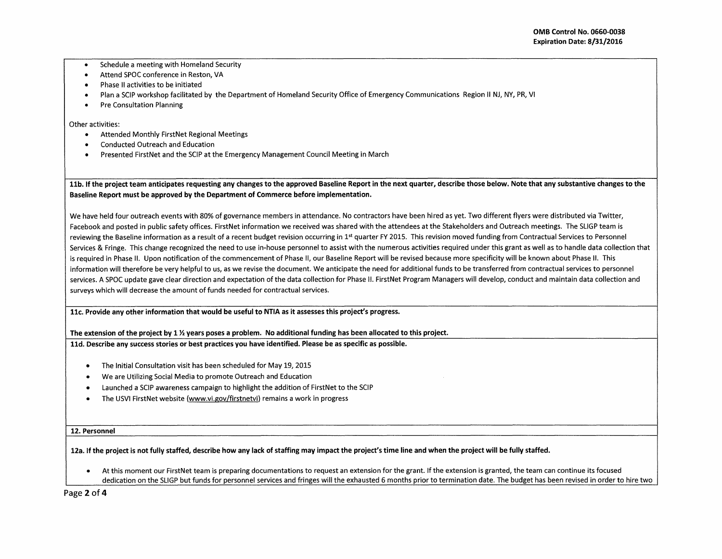- Schedule a meeting with Homeland Security
- Attend SPOC conference in Reston, VA
- Phase II activities to be initiated
- Plan a SCIP workshop facilitated by the Department of Homeland Security Office of Emergency Communications Region II NJ, NY, PR, VI
- Pre Consultation Planning

Other activities:

- Attended Monthly FirstNet Regional Meetings
- Conducted Outreach and Education
- Presented FirstNet and the SCIP at the Emergency Management Council Meeting in March

11b. If the project team anticipates requesting any changes to the approved Baseline Report in the next quarter, describe those below. Note that any substantive changes to the Baseline Report must be approved by the Department of Commerce before implementation.

We have held four outreach events with 80% of governance members in attendance. No contractors have been hired as yet. Two different flyers were distributed via Twitter, Facebook and posted in public safety offices. FirstNet information we received was shared with the attendees at the Stakeholders and Outreach meetings. The SLIGP team is reviewing the Baseline information as a result of a recent budget revision occurring in 1<sup>st</sup> quarter FY 2015. This revision moved funding from Contractual Services to Personnel Services & Fringe. This change recognized the need to use in-house personnel to assist with the numerous activities required under this grant as well as to handle data collection that is required in Phase II. Upon notification of the commencement of Phase II, our Baseline Report will be revised because more specificity will be known about Phase II. This information will therefore be very helpful to us, as we revise the document. We anticipate the need for additional funds to be transferred from contractual services to personnel services. A SPOC update gave clear direction and expectation of the data collection for Phase II. FirstNet Program Managers will develop, conduct and maintain data collection and surveys which will decrease the amount of funds needed for contractual services.

11c. Provide any other information that would be useful to NTIA as it assesses this project's progress.

The extension of the project by 1  $\frac{1}{2}$  years poses a problem. No additional funding has been allocated to this project.

11d. Describe any success stories or best practices you have identified. Please be as specific as possible.

- The Initial Consultation visit has been scheduled for May 19, 2015
- We are Utilizing Social Media to promote Outreach and Education
- Launched a SCIP awareness campaign to highlight the addition of FirstNet to the SCIP
- The USVI FirstNet website (www.vi.gov/firstnetvi) remains a work in progress

## 12. Personnel

12a. If the project is not fully staffed, describe how any lack of staffing may impact the project's time line and when the project will be fully staffed.

• At this moment our FirstNet team is preparing documentations to request an extension for the grant. If the extension is granted, the team can continue its focused dedication on the SLIGP but funds for personnel services and fringes will the exhausted 6 months prior to termination date. The budget has been revised in order to hire two

Page 2 of 4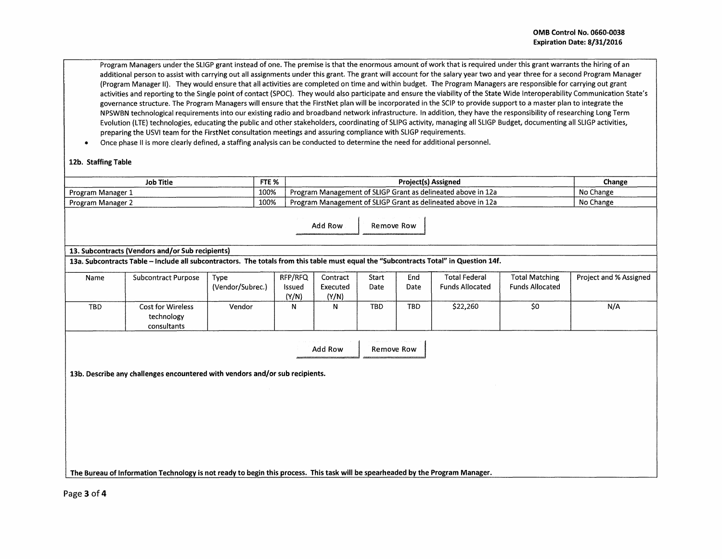Program Managers under the SLIGP grant instead of one. The premise is that the enormous amount of work that is required under this grant warrants the hiring of an additional person to assist with carrying out all assignments under this grant. The grant will account for the salary year two and year three for a second Program Manager (Program Manager II). They would ensure that all activities are completed on time and within budget. The Program Managers are responsible for carrying out grant activities and reporting to the Single point of contact {SPOC). They would also participate and ensure the viability of the State Wide lnteroperability Communication State's governance structure. The Program Managers will ensure that the FirstNet plan will be incorporated in the SCIP to provide support to a master plan to integrate the NPSWBN technological requirements into our existing radio and broadband network infrastructure. In addition, they have the responsibility of researching Long Term Evolution (LTE) technologies, educating the public and other stakeholders, coordinating of SLIPG activity, managing all SLIGP Budget, documenting all SLIGP activities, preparing the USVI team for the FirstNet consultation meetings and assuring compliance with SLIGP requirements.

• Once phase II is more clearly defined, a staffing analysis can be conducted to determine the need for additional personnel.

## 12b. Staffing Table

| <b>Job Title</b>  | FTE <sub>%</sub> | <b>Project(s) Assigned</b>                                   | Change    |  |
|-------------------|------------------|--------------------------------------------------------------|-----------|--|
| Program Manager L | 100%             | Program Management of SLIGP Grant as delineated above in 12a | No Change |  |
| Program Manager 2 | 100%             | Program Management of SLIGP Grant as delineated above in 12a | No Change |  |
|                   |                  |                                                              |           |  |

Add Row Remove Row

## 13. Subcontracts (Vendors and/or Sub recipients)

13a. Subcontracts Table -Include all subcontractors. The totals from this table must equal the "Subcontracts Total" in Question 14f.

| Name       | <b>Subcontract Purpose</b>                            | Type<br>(Vendor/Subrec.) | RFP/RFQ<br><b>Issued</b><br>(Y/N) | Contract<br>Executed<br>(Y/N) | Start<br>Date | End<br>Date | <b>Total Federal</b><br><b>Funds Allocated</b> | <b>Total Matching</b><br>Funds Allocated | Project and % Assigned |
|------------|-------------------------------------------------------|--------------------------|-----------------------------------|-------------------------------|---------------|-------------|------------------------------------------------|------------------------------------------|------------------------|
| <b>TBD</b> | <b>Cost for Wireless</b><br>technology<br>consultants | Vendor                   |                                   | IN.                           | <b>TBD</b>    | TBD         | \$22,260                                       | \$0                                      | N/A                    |

Add Row Remove Row

13b. Describe any challenges encountered with vendors and/or sub recipients.

The Bureau of Information Technology is not ready to begin this process. This task will be spearheaded by the Program Manager.

Page 3 of 4